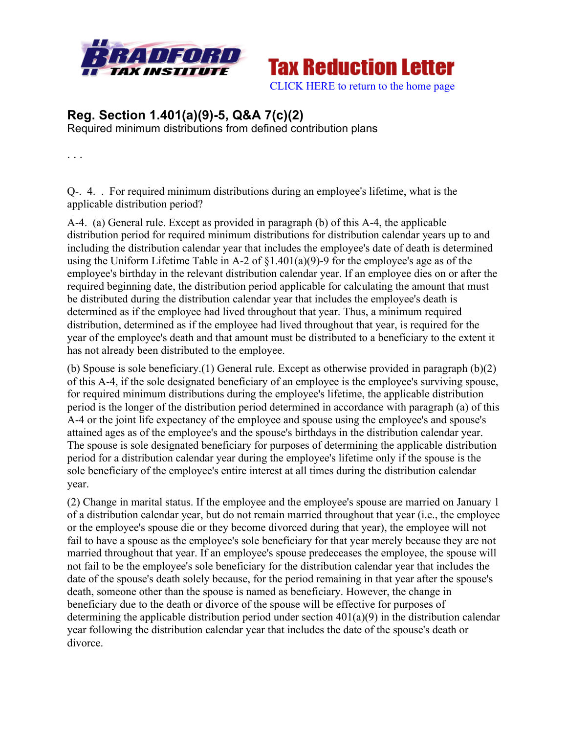

**Tax Reduction Letter** [CLICK HERE to return to the home page](www.bradfordtaxinstitute.com) 

## **Reg. Section 1.401(a)(9)-5, Q&A 7(c)(2)**

Required minimum distributions from defined contribution plans

. . .

Q-. 4. . For required minimum distributions during an employee's lifetime, what is the applicable distribution period?

A-4. (a) General rule. Except as provided in paragraph (b) of this A-4, the applicable distribution period for required minimum distributions for distribution calendar years up to and including the distribution calendar year that includes the employee's date of death is determined using the Uniform Lifetime Table in A-2 of §1.401(a)(9)-9 for the employee's age as of the employee's birthday in the relevant distribution calendar year. If an employee dies on or after the required beginning date, the distribution period applicable for calculating the amount that must be distributed during the distribution calendar year that includes the employee's death is determined as if the employee had lived throughout that year. Thus, a minimum required distribution, determined as if the employee had lived throughout that year, is required for the year of the employee's death and that amount must be distributed to a beneficiary to the extent it has not already been distributed to the employee.

(b) Spouse is sole beneficiary.(1) General rule. Except as otherwise provided in paragraph (b)(2) of this A-4, if the sole designated beneficiary of an employee is the employee's surviving spouse, for required minimum distributions during the employee's lifetime, the applicable distribution period is the longer of the distribution period determined in accordance with paragraph (a) of this A-4 or the joint life expectancy of the employee and spouse using the employee's and spouse's attained ages as of the employee's and the spouse's birthdays in the distribution calendar year. The spouse is sole designated beneficiary for purposes of determining the applicable distribution period for a distribution calendar year during the employee's lifetime only if the spouse is the sole beneficiary of the employee's entire interest at all times during the distribution calendar year.

(2) Change in marital status. If the employee and the employee's spouse are married on January 1 of a distribution calendar year, but do not remain married throughout that year (i.e., the employee or the employee's spouse die or they become divorced during that year), the employee will not fail to have a spouse as the employee's sole beneficiary for that year merely because they are not married throughout that year. If an employee's spouse predeceases the employee, the spouse will not fail to be the employee's sole beneficiary for the distribution calendar year that includes the date of the spouse's death solely because, for the period remaining in that year after the spouse's death, someone other than the spouse is named as beneficiary. However, the change in beneficiary due to the death or divorce of the spouse will be effective for purposes of determining the applicable distribution period under section 401(a)(9) in the distribution calendar year following the distribution calendar year that includes the date of the spouse's death or divorce.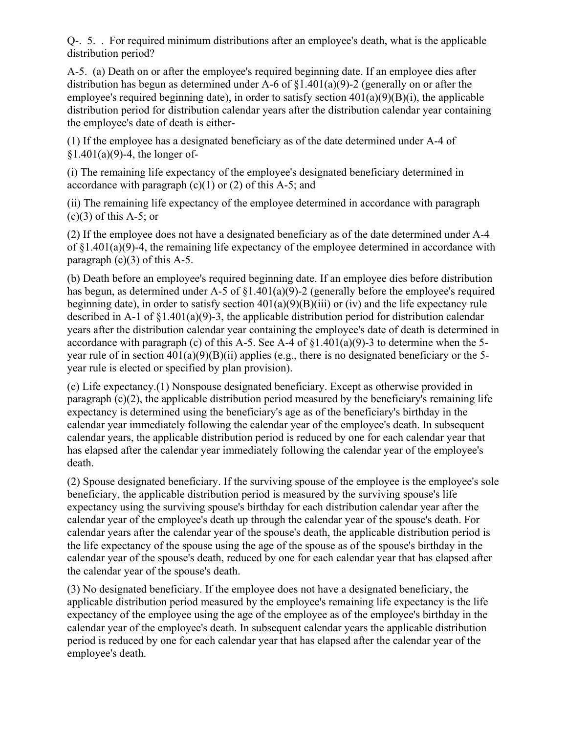Q-. 5. . For required minimum distributions after an employee's death, what is the applicable distribution period?

A-5. (a) Death on or after the employee's required beginning date. If an employee dies after distribution has begun as determined under A-6 of §1.401(a)(9)-2 (generally on or after the employee's required beginning date), in order to satisfy section  $401(a)(9)(B)(i)$ , the applicable distribution period for distribution calendar years after the distribution calendar year containing the employee's date of death is either-

(1) If the employee has a designated beneficiary as of the date determined under A-4 of  $$1.401(a)(9)$ -4, the longer of-

(i) The remaining life expectancy of the employee's designated beneficiary determined in accordance with paragraph  $(c)(1)$  or  $(2)$  of this A-5; and

(ii) The remaining life expectancy of the employee determined in accordance with paragraph  $(c)(3)$  of this A-5; or

(2) If the employee does not have a designated beneficiary as of the date determined under A-4 of §1.401(a)(9)-4, the remaining life expectancy of the employee determined in accordance with paragraph  $(c)(3)$  of this A-5.

(b) Death before an employee's required beginning date. If an employee dies before distribution has begun, as determined under A-5 of §1.401(a)(9)-2 (generally before the employee's required beginning date), in order to satisfy section  $401(a)(9)(B)(iii)$  or (iv) and the life expectancy rule described in A-1 of §1.401(a)(9)-3, the applicable distribution period for distribution calendar years after the distribution calendar year containing the employee's date of death is determined in accordance with paragraph (c) of this A-5. See A-4 of  $\S1.401(a)(9)$ -3 to determine when the 5year rule of in section  $401(a)(9)(B)(ii)$  applies (e.g., there is no designated beneficiary or the 5year rule is elected or specified by plan provision).

(c) Life expectancy.(1) Nonspouse designated beneficiary. Except as otherwise provided in paragraph  $(c)(2)$ , the applicable distribution period measured by the beneficiary's remaining life expectancy is determined using the beneficiary's age as of the beneficiary's birthday in the calendar year immediately following the calendar year of the employee's death. In subsequent calendar years, the applicable distribution period is reduced by one for each calendar year that has elapsed after the calendar year immediately following the calendar year of the employee's death.

(2) Spouse designated beneficiary. If the surviving spouse of the employee is the employee's sole beneficiary, the applicable distribution period is measured by the surviving spouse's life expectancy using the surviving spouse's birthday for each distribution calendar year after the calendar year of the employee's death up through the calendar year of the spouse's death. For calendar years after the calendar year of the spouse's death, the applicable distribution period is the life expectancy of the spouse using the age of the spouse as of the spouse's birthday in the calendar year of the spouse's death, reduced by one for each calendar year that has elapsed after the calendar year of the spouse's death.

(3) No designated beneficiary. If the employee does not have a designated beneficiary, the applicable distribution period measured by the employee's remaining life expectancy is the life expectancy of the employee using the age of the employee as of the employee's birthday in the calendar year of the employee's death. In subsequent calendar years the applicable distribution period is reduced by one for each calendar year that has elapsed after the calendar year of the employee's death.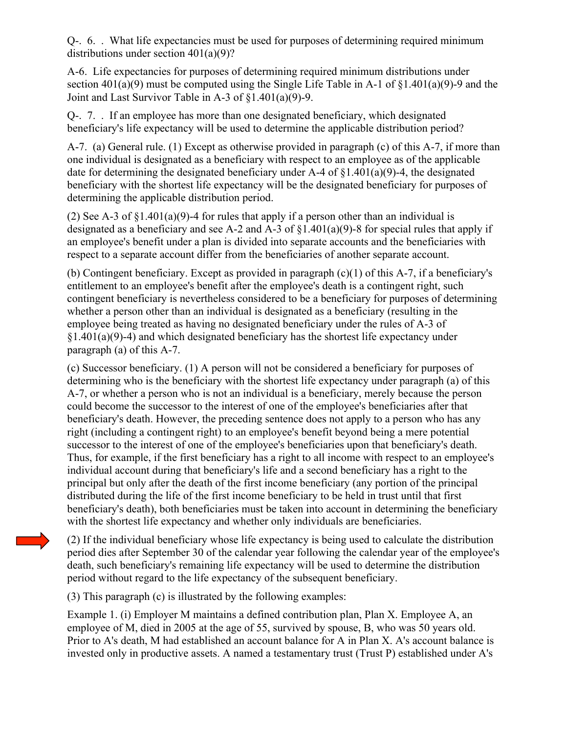Q-. 6. . What life expectancies must be used for purposes of determining required minimum distributions under section 401(a)(9)?

A-6. Life expectancies for purposes of determining required minimum distributions under section 401(a)(9) must be computed using the Single Life Table in A-1 of §1.401(a)(9)-9 and the Joint and Last Survivor Table in A-3 of §1.401(a)(9)-9.

Q-. 7. . If an employee has more than one designated beneficiary, which designated beneficiary's life expectancy will be used to determine the applicable distribution period?

A-7. (a) General rule. (1) Except as otherwise provided in paragraph (c) of this A-7, if more than one individual is designated as a beneficiary with respect to an employee as of the applicable date for determining the designated beneficiary under A-4 of  $\S1.401(a)(9)$ -4, the designated beneficiary with the shortest life expectancy will be the designated beneficiary for purposes of determining the applicable distribution period.

(2) See A-3 of §1.401(a)(9)-4 for rules that apply if a person other than an individual is designated as a beneficiary and see A-2 and A-3 of  $\S1.401(a)(9)$ -8 for special rules that apply if an employee's benefit under a plan is divided into separate accounts and the beneficiaries with respect to a separate account differ from the beneficiaries of another separate account.

(b) Contingent beneficiary. Except as provided in paragraph (c)(1) of this A-7, if a beneficiary's entitlement to an employee's benefit after the employee's death is a contingent right, such contingent beneficiary is nevertheless considered to be a beneficiary for purposes of determining whether a person other than an individual is designated as a beneficiary (resulting in the employee being treated as having no designated beneficiary under the rules of A-3 of  $§1.401(a)(9)-4$ ) and which designated beneficiary has the shortest life expectancy under paragraph (a) of this A-7.

(c) Successor beneficiary. (1) A person will not be considered a beneficiary for purposes of determining who is the beneficiary with the shortest life expectancy under paragraph (a) of this A-7, or whether a person who is not an individual is a beneficiary, merely because the person could become the successor to the interest of one of the employee's beneficiaries after that beneficiary's death. However, the preceding sentence does not apply to a person who has any right (including a contingent right) to an employee's benefit beyond being a mere potential successor to the interest of one of the employee's beneficiaries upon that beneficiary's death. Thus, for example, if the first beneficiary has a right to all income with respect to an employee's individual account during that beneficiary's life and a second beneficiary has a right to the principal but only after the death of the first income beneficiary (any portion of the principal distributed during the life of the first income beneficiary to be held in trust until that first beneficiary's death), both beneficiaries must be taken into account in determining the beneficiary with the shortest life expectancy and whether only individuals are beneficiaries.

(2) If the individual beneficiary whose life expectancy is being used to calculate the distribution period dies after September 30 of the calendar year following the calendar year of the employee's death, such beneficiary's remaining life expectancy will be used to determine the distribution period without regard to the life expectancy of the subsequent beneficiary.

(3) This paragraph (c) is illustrated by the following examples:

Example 1. (i) Employer M maintains a defined contribution plan, Plan X. Employee A, an employee of M, died in 2005 at the age of 55, survived by spouse, B, who was 50 years old. Prior to A's death, M had established an account balance for A in Plan X. A's account balance is invested only in productive assets. A named a testamentary trust (Trust P) established under A's